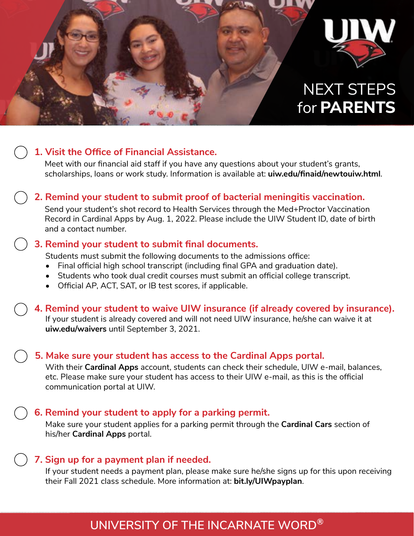

## **1. Visit the Office of Financial Assistance.**

Meet with our financial aid staff if you have any questions about your student's grants, scholarships, loans or work study. Information is available at: **uiw.edu/finaid/newtouiw.html**.

## **2. Remind your student to submit proof of bacterial meningitis vaccination.**

Send your student's shot record to Health Services through the Med+Proctor Vaccination Record in Cardinal Apps by Aug. 1, 2022. Please include the UIW Student ID, date of birth and a contact number.

#### **3. Remind your student to submit final documents.**

Students must submit the following documents to the admissions office:

- Final official high school transcript (including final GPA and graduation date).
- Students who took dual credit courses must submit an official college transcript.
- Official AP, ACT, SAT, or IB test scores, if applicable.

### **4. Remind your student to waive UIW insurance (if already covered by insurance).**

If your student is already covered and will not need UIW insurance, he/she can waive it at **uiw.edu/waivers** until September 3, 2021.

### **5. Make sure your student has access to the Cardinal Apps portal.**

With their **Cardinal Apps** account, students can check their schedule, UIW e-mail, balances, etc. Please make sure your student has access to their UIW e-mail, as this is the official communication portal at UIW.

### **6. Remind your student to apply for a parking permit.**

Make sure your student applies for a parking permit through the **Cardinal Cars** section of his/her **Cardinal Apps** portal.

### **7. Sign up for a payment plan if needed.**

If your student needs a payment plan, please make sure he/she signs up for this upon receiving their Fall 2021 class schedule. More information at: **bit.ly/UIWpayplan**.

## **UNIVERSITY OF THE INCARNATE WORD®**